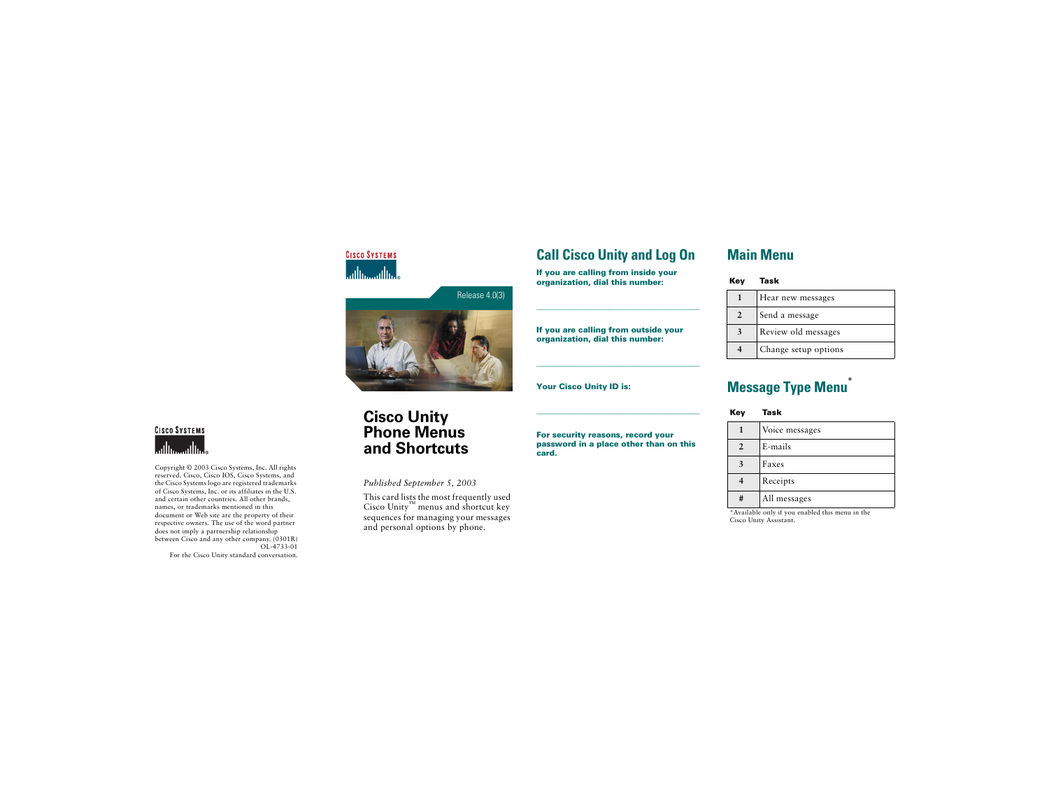



# **CISCO SYSTEMS**

Copyright © 2003 Cisco Systems, Inc. All rights reserved. Cisco, Cisco IOS, Cisco Systems, and the Cisco Systems logo are registered trademarks of Cisco Systems, Inc. or its affiliates in the U.S. and certain other countries. All other brands, names, or trademarks mentioned in this document or Web site are the property of their respective owners. The use of the word partner does not imply a partnership relationship between Cisco and any other company. (0301R) OL-4733-01

For the Cisco Unity standard conversation.

## **Call Cisco Unity and Log On**

**If you are calling from inside your organization, dial this number:**

**If you are calling from outside your organization, dial this number:**

**Your Cisco Unity ID is:**

**Main Menu**

| Key | Task                 |
|-----|----------------------|
|     | Hear new messages    |
| 2   | Send a message       |
|     | Review old messages  |
|     | Change setup options |

# **Message Type Menu** \*

**Key Task**

|                | Voice messages |
|----------------|----------------|
| $\overline{2}$ | E-mails        |
|                | Faxes          |
|                | Receipts       |
| #              | All messages   |

\*Available only if you enabled this menu in the Cisco Unity Assistant.

# **Cisco Unity Phone Menus and Shortcuts**

*Published September 5, 2003*

This card lists the most frequently used Cisco Unity™ menus and shortcut key sequences for managing your messages and personal options by phone.

**For security reasons, record your password in a place other than on this card.**